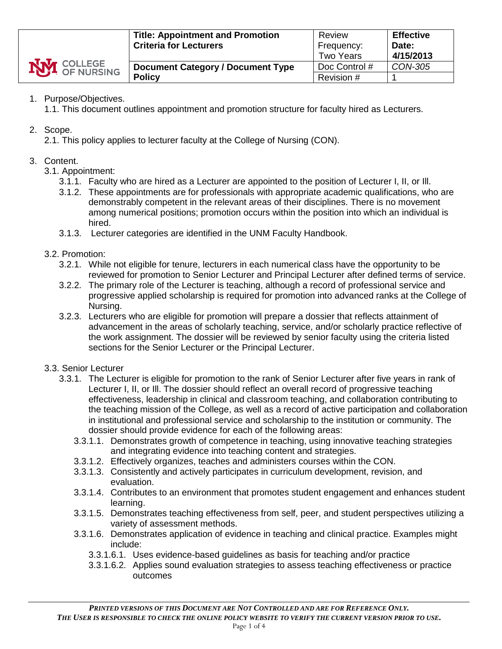| <b>NVI</b> COLLEGE | <b>Title: Appointment and Promotion</b><br><b>Criteria for Lecturers</b> | Review<br>Frequency:<br><b>Two Years</b> | <b>Effective</b><br>Date:<br>4/15/2013 |
|--------------------|--------------------------------------------------------------------------|------------------------------------------|----------------------------------------|
|                    | <b>Document Category / Document Type</b>                                 | Doc Control #                            | CON-305                                |
|                    | <b>Policy</b>                                                            | Revision #                               |                                        |

# 1. Purpose/Objectives.

1.1. This document outlines appointment and promotion structure for faculty hired as Lecturers.

## 2. Scope.

2.1. This policy applies to lecturer faculty at the College of Nursing (CON).

## 3. Content.

- 3.1. Appointment:
	- 3.1.1. Faculty who are hired as a Lecturer are appointed to the position of Lecturer I, II, or Ill.
	- 3.1.2. These appointments are for professionals with appropriate academic qualifications, who are demonstrably competent in the relevant areas of their disciplines. There is no movement among numerical positions; promotion occurs within the position into which an individual is hired.
	- 3.1.3. Lecturer categories are identified in the UNM Faculty Handbook.

#### 3.2. Promotion:

- 3.2.1. While not eligible for tenure, lecturers in each numerical class have the opportunity to be reviewed for promotion to Senior Lecturer and Principal Lecturer after defined terms of service.
- 3.2.2. The primary role of the Lecturer is teaching, although a record of professional service and progressive applied scholarship is required for promotion into advanced ranks at the College of Nursing.
- 3.2.3. Lecturers who are eligible for promotion will prepare a dossier that reflects attainment of advancement in the areas of scholarly teaching, service, and/or scholarly practice reflective of the work assignment. The dossier will be reviewed by senior faculty using the criteria listed sections for the Senior Lecturer or the Principal Lecturer.

## 3.3. Senior Lecturer

- 3.3.1. The Lecturer is eligible for promotion to the rank of Senior Lecturer after five years in rank of Lecturer I, II, or Ill. The dossier should reflect an overall record of progressive teaching effectiveness, leadership in clinical and classroom teaching, and collaboration contributing to the teaching mission of the College, as well as a record of active participation and collaboration in institutional and professional service and scholarship to the institution or community. The dossier should provide evidence for each of the following areas:
	- 3.3.1.1. Demonstrates growth of competence in teaching, using innovative teaching strategies and integrating evidence into teaching content and strategies.
	- 3.3.1.2. Effectively organizes, teaches and administers courses within the CON.
	- 3.3.1.3. Consistently and actively participates in curriculum development, revision, and evaluation.
	- 3.3.1.4. Contributes to an environment that promotes student engagement and enhances student learning.
	- 3.3.1.5. Demonstrates teaching effectiveness from self, peer, and student perspectives utilizing a variety of assessment methods.
	- 3.3.1.6. Demonstrates application of evidence in teaching and clinical practice. Examples might include:
		- 3.3.1.6.1. Uses evidence-based guidelines as basis for teaching and/or practice
		- 3.3.1.6.2. Applies sound evaluation strategies to assess teaching effectiveness or practice outcomes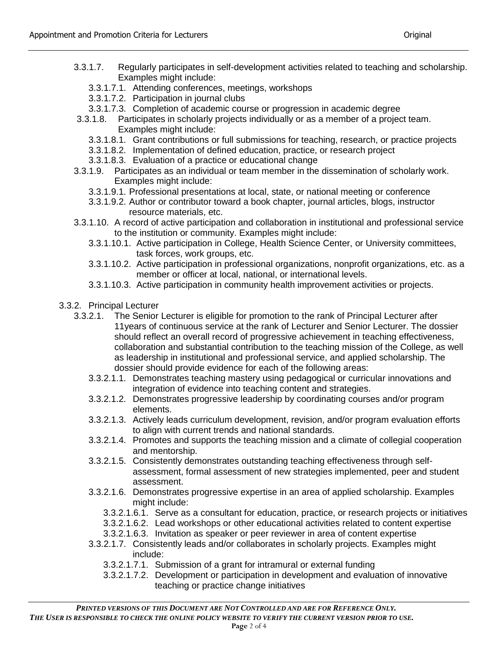- 3.3.1.7. Regularly participates in self-development activities related to teaching and scholarship. Examples might include:
	- 3.3.1.7.1. Attending conferences, meetings, workshops
	- 3.3.1.7.2. Participation in journal clubs
	- 3.3.1.7.3. Completion of academic course or progression in academic degree
- 3.3.1.8. Participates in scholarly projects individually or as a member of a project team. Examples might include:
	- 3.3.1.8.1. Grant contributions or full submissions for teaching, research, or practice projects
	- 3.3.1.8.2. Implementation of defined education, practice, or research project
	- 3.3.1.8.3. Evaluation of a practice or educational change
- 3.3.1.9. Participates as an individual or team member in the dissemination of scholarly work. Examples might include:
	- 3.3.1.9.1. Professional presentations at local, state, or national meeting or conference
	- 3.3.1.9.2. Author or contributor toward a book chapter, journal articles, blogs, instructor resource materials, etc.
- 3.3.1.10. A record of active participation and collaboration in institutional and professional service to the institution or community. Examples might include:
	- 3.3.1.10.1. Active participation in College, Health Science Center, or University committees, task forces, work groups, etc.
	- 3.3.1.10.2. Active participation in professional organizations, nonprofit organizations, etc. as a member or officer at local, national, or international levels.
	- 3.3.1.10.3. Active participation in community health improvement activities or projects.
- 3.3.2. Principal Lecturer
	- 3.3.2.1. The Senior Lecturer is eligible for promotion to the rank of Principal Lecturer after 11years of continuous service at the rank of Lecturer and Senior Lecturer. The dossier should reflect an overall record of progressive achievement in teaching effectiveness, collaboration and substantial contribution to the teaching mission of the College, as well as leadership in institutional and professional service, and applied scholarship. The dossier should provide evidence for each of the following areas:
		- 3.3.2.1.1. Demonstrates teaching mastery using pedagogical or curricular innovations and integration of evidence into teaching content and strategies.
		- 3.3.2.1.2. Demonstrates progressive leadership by coordinating courses and/or program elements.
		- 3.3.2.1.3. Actively leads curriculum development, revision, and/or program evaluation efforts to align with current trends and national standards.
		- 3.3.2.1.4. Promotes and supports the teaching mission and a climate of collegial cooperation and mentorship.
		- 3.3.2.1.5. Consistently demonstrates outstanding teaching effectiveness through selfassessment, formal assessment of new strategies implemented, peer and student assessment.
		- 3.3.2.1.6. Demonstrates progressive expertise in an area of applied scholarship. Examples might include:
			- 3.3.2.1.6.1. Serve as a consultant for education, practice, or research projects or initiatives
			- 3.3.2.1.6.2. Lead workshops or other educational activities related to content expertise
			- 3.3.2.1.6.3. Invitation as speaker or peer reviewer in area of content expertise
		- 3.3.2.1.7. Consistently leads and/or collaborates in scholarly projects. Examples might include:
			- 3.3.2.1.7.1. Submission of a grant for intramural or external funding
			- 3.3.2.1.7.2. Development or participation in development and evaluation of innovative teaching or practice change initiatives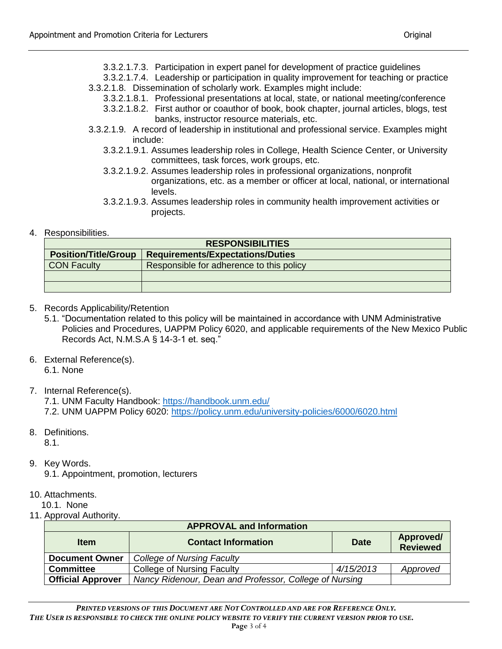- 3.3.2.1.7.3. Participation in expert panel for development of practice guidelines
- 3.3.2.1.7.4. Leadership or participation in quality improvement for teaching or practice 3.3.2.1.8. Dissemination of scholarly work. Examples might include:
	- 3.3.2.1.8.1. Professional presentations at local, state, or national meeting/conference
	- 3.3.2.1.8.2. First author or coauthor of book, book chapter, journal articles, blogs, test banks, instructor resource materials, etc.
- 3.3.2.1.9. A record of leadership in institutional and professional service. Examples might include:
	- 3.3.2.1.9.1. Assumes leadership roles in College, Health Science Center, or University committees, task forces, work groups, etc.
	- 3.3.2.1.9.2. Assumes leadership roles in professional organizations, nonprofit organizations, etc. as a member or officer at local, national, or international levels.
	- 3.3.2.1.9.3. Assumes leadership roles in community health improvement activities or projects.

## 4. Responsibilities.

| <b>RESPONSIBILITIES</b>     |                                          |  |  |
|-----------------------------|------------------------------------------|--|--|
| <b>Position/Title/Group</b> | <b>Requirements/Expectations/Duties</b>  |  |  |
| <b>CON Faculty</b>          | Responsible for adherence to this policy |  |  |
|                             |                                          |  |  |
|                             |                                          |  |  |

- 5. Records Applicability/Retention
	- 5.1. "Documentation related to this policy will be maintained in accordance with UNM Administrative Policies and Procedures, UAPPM Policy 6020, and applicable requirements of the New Mexico Public Records Act, N.M.S.A § 14-3-1 et. seq."
- 6. External Reference(s). 6.1. None
- 7. Internal Reference(s).

7.1. UNM Faculty Handbook:<https://handbook.unm.edu/> 7.2. UNM UAPPM Policy 6020:<https://policy.unm.edu/university-policies/6000/6020.html>

8. Definitions.

8.1.

9. Key Words.

9.1. Appointment, promotion, lecturers

10. Attachments.

10.1. None

11. Approval Authority.

| <b>APPROVAL and Information</b> |                                                        |                                             |          |  |
|---------------------------------|--------------------------------------------------------|---------------------------------------------|----------|--|
| <b>Item</b>                     | <b>Contact Information</b>                             | Approved/<br><b>Date</b><br><b>Reviewed</b> |          |  |
| <b>Document Owner</b>           | College of Nursing Faculty                             |                                             |          |  |
| <b>Committee</b>                | <b>College of Nursing Faculty</b>                      |                                             | Approved |  |
| <b>Official Approver</b>        | Nancy Ridenour, Dean and Professor, College of Nursing |                                             |          |  |